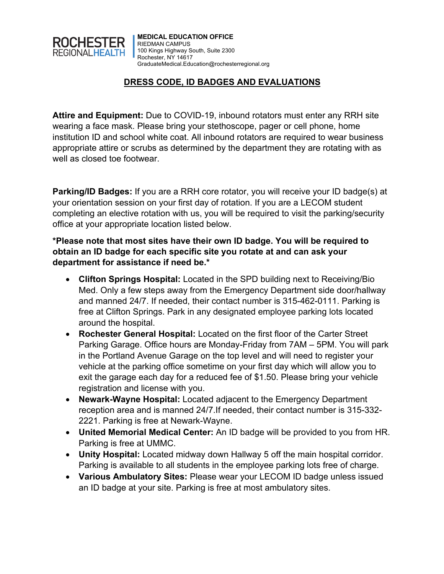

## **DRESS CODE, ID BADGES AND EVALUATIONS**

**Attire and Equipment:** Due to COVID-19, inbound rotators must enter any RRH site wearing a face mask. Please bring your stethoscope, pager or cell phone, home institution ID and school white coat. All inbound rotators are required to wear business appropriate attire or scrubs as determined by the department they are rotating with as well as closed toe footwear.

**Parking/ID Badges:** If you are a RRH core rotator, you will receive your ID badge(s) at your orientation session on your first day of rotation. If you are a LECOM student completing an elective rotation with us, you will be required to visit the parking/security office at your appropriate location listed below.

**\*Please note that most sites have their own ID badge. You will be required to obtain an ID badge for each specific site you rotate at and can ask your department for assistance if need be.\***

- **Clifton Springs Hospital:** Located in the SPD building next to Receiving/Bio Med. Only a few steps away from the Emergency Department side door/hallway and manned 24/7. If needed, their contact number is 315-462-0111. Parking is free at Clifton Springs. Park in any designated employee parking lots located around the hospital.
- **Rochester General Hospital:** Located on the first floor of the Carter Street Parking Garage. Office hours are Monday-Friday from 7AM – 5PM. You will park in the Portland Avenue Garage on the top level and will need to register your vehicle at the parking office sometime on your first day which will allow you to exit the garage each day for a reduced fee of \$1.50. Please bring your vehicle registration and license with you.
- **Newark-Wayne Hospital:** Located adjacent to the Emergency Department reception area and is manned 24/7.If needed, their contact number is 315-332- 2221. Parking is free at Newark-Wayne.
- **United Memorial Medical Center:** An ID badge will be provided to you from HR. Parking is free at UMMC.
- **Unity Hospital:** Located midway down Hallway 5 off the main hospital corridor. Parking is available to all students in the employee parking lots free of charge.
- **Various Ambulatory Sites:** Please wear your LECOM ID badge unless issued an ID badge at your site. Parking is free at most ambulatory sites.